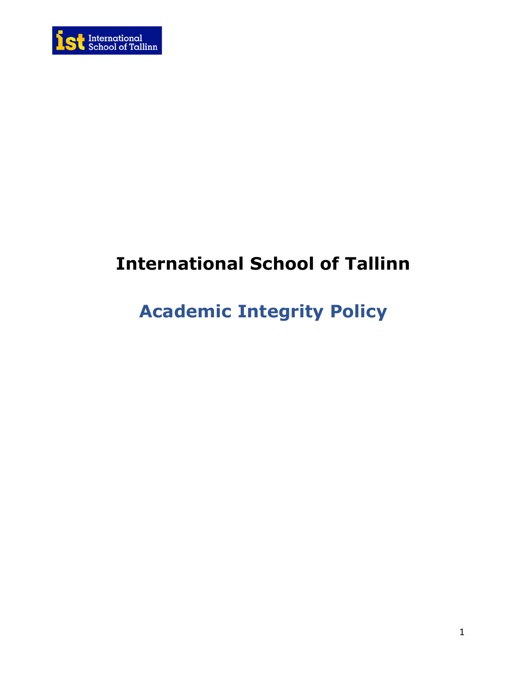

# **International School of Tallinn**

# **Academic Integrity Policy**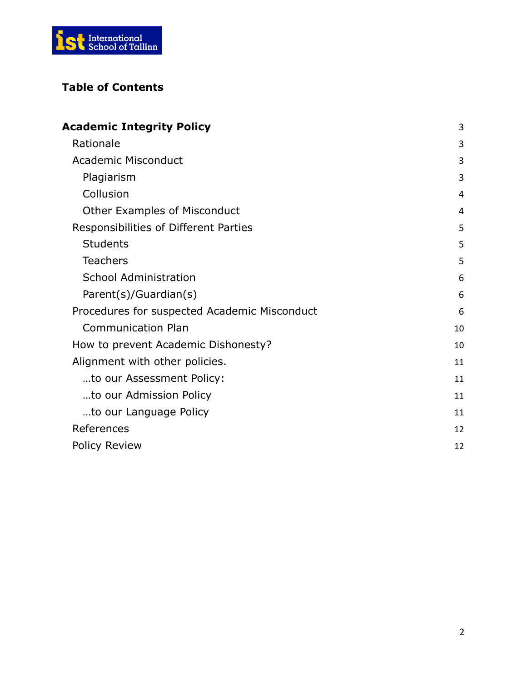

# **Table of Contents**

| <b>Academic Integrity Policy</b>             | 3  |
|----------------------------------------------|----|
| Rationale                                    | 3  |
| <b>Academic Misconduct</b>                   | 3  |
| Plagiarism                                   | 3  |
| Collusion                                    | 4  |
| <b>Other Examples of Misconduct</b>          | 4  |
| Responsibilities of Different Parties        | 5  |
| <b>Students</b>                              | 5  |
| <b>Teachers</b>                              | 5  |
| <b>School Administration</b>                 | 6  |
| Parent(s)/Guardian(s)                        | 6  |
| Procedures for suspected Academic Misconduct | 6  |
| <b>Communication Plan</b>                    | 10 |
| How to prevent Academic Dishonesty?          | 10 |
| Alignment with other policies.               | 11 |
| to our Assessment Policy:                    | 11 |
| to our Admission Policy                      | 11 |
| to our Language Policy                       | 11 |
| References                                   | 12 |
| <b>Policy Review</b>                         | 12 |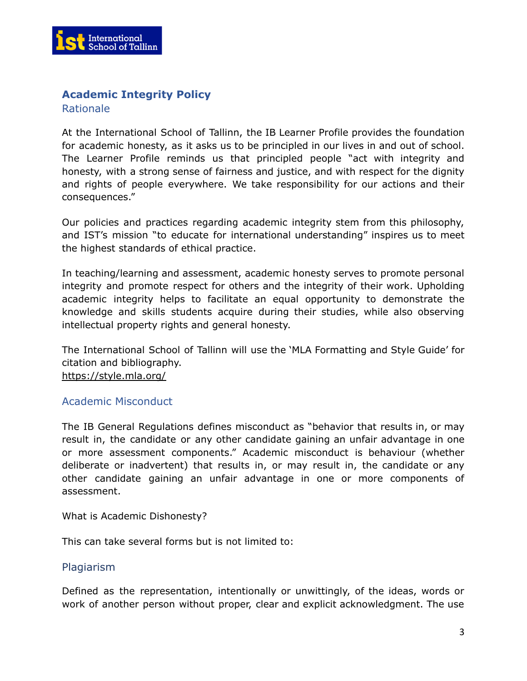

# <span id="page-2-0"></span>**Academic Integrity Policy**

<span id="page-2-1"></span>Rationale

At the International School of Tallinn, the IB Learner Profile provides the foundation for academic honesty, as it asks us to be principled in our lives in and out of school. The Learner Profile reminds us that principled people "act with integrity and honesty, with a strong sense of fairness and justice, and with respect for the dignity and rights of people everywhere. We take responsibility for our actions and their consequences."

Our policies and practices regarding academic integrity stem from this philosophy, and IST's mission "to educate for international understanding" inspires us to meet the highest standards of ethical practice.

In teaching/learning and assessment, academic honesty serves to promote personal integrity and promote respect for others and the integrity of their work. Upholding academic integrity helps to facilitate an equal opportunity to demonstrate the knowledge and skills students acquire during their studies, while also observing intellectual property rights and general honesty.

The International School of Tallinn will use the 'MLA Formatting and Style Guide' for citation and bibliography. <https://style.mla.org/>

# <span id="page-2-2"></span>Academic Misconduct

The IB General Regulations defines misconduct as "behavior that results in, or may result in, the candidate or any other candidate gaining an unfair advantage in one or more assessment components." Academic misconduct is behaviour (whether deliberate or inadvertent) that results in, or may result in, the candidate or any other candidate gaining an unfair advantage in one or more components of assessment.

What is Academic Dishonesty?

This can take several forms but is not limited to:

#### <span id="page-2-3"></span>Plagiarism

Defined as the representation, intentionally or unwittingly, of the ideas, words or work of another person without proper, clear and explicit acknowledgment. The use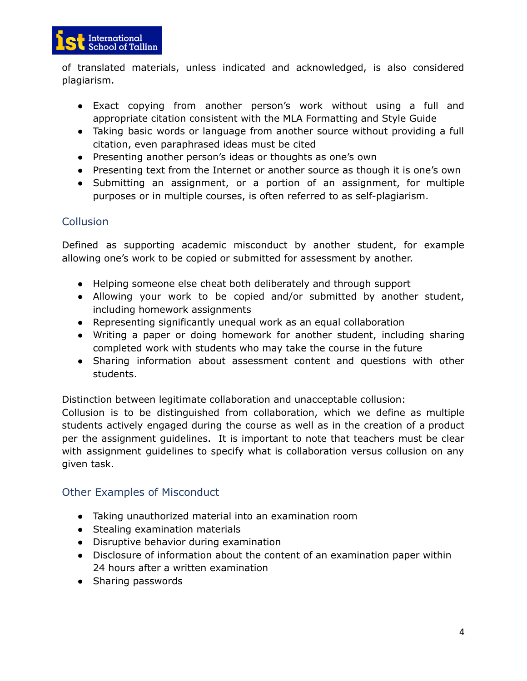

of translated materials, unless indicated and acknowledged, is also considered plagiarism.

- Exact copying from another person's work without using a full and appropriate citation consistent with the MLA Formatting and Style Guide
- Taking basic words or language from another source without providing a full citation, even paraphrased ideas must be cited
- Presenting another person's ideas or thoughts as one's own
- Presenting text from the Internet or another source as though it is one's own
- Submitting an assignment, or a portion of an assignment, for multiple purposes or in multiple courses, is often referred to as self-plagiarism.

# <span id="page-3-0"></span>**Collusion**

Defined as supporting academic misconduct by another student, for example allowing one's work to be copied or submitted for assessment by another.

- Helping someone else cheat both deliberately and through support
- Allowing your work to be copied and/or submitted by another student, including homework assignments
- Representing significantly unequal work as an equal collaboration
- Writing a paper or doing homework for another student, including sharing completed work with students who may take the course in the future
- Sharing information about assessment content and questions with other students.

Distinction between legitimate collaboration and unacceptable collusion:

Collusion is to be distinguished from collaboration, which we define as multiple students actively engaged during the course as well as in the creation of a product per the assignment guidelines. It is important to note that teachers must be clear with assignment guidelines to specify what is collaboration versus collusion on any given task.

# <span id="page-3-1"></span>Other Examples of Misconduct

- Taking unauthorized material into an examination room
- Stealing examination materials
- Disruptive behavior during examination
- Disclosure of information about the content of an examination paper within 24 hours after a written examination
- Sharing passwords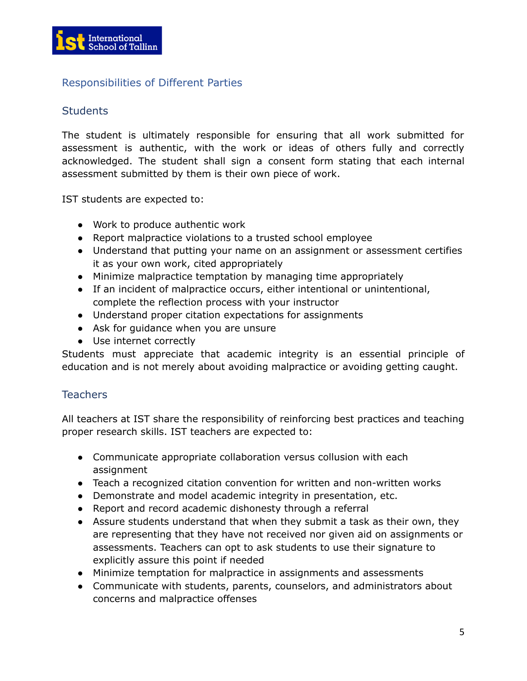

# Responsibilities of Different Parties

### <span id="page-4-0"></span>**Students**

The student is ultimately responsible for ensuring that all work submitted for assessment is authentic, with the work or ideas of others fully and correctly acknowledged. The student shall sign a consent form stating that each internal assessment submitted by them is their own piece of work.

IST students are expected to:

- Work to produce authentic work
- Report malpractice violations to a trusted school employee
- Understand that putting your name on an assignment or assessment certifies it as your own work, cited appropriately
- Minimize malpractice temptation by managing time appropriately
- If an incident of malpractice occurs, either intentional or unintentional, complete the reflection process with your instructor
- Understand proper citation expectations for assignments
- Ask for quidance when you are unsure
- Use internet correctly

Students must appreciate that academic integrity is an essential principle of education and is not merely about avoiding malpractice or avoiding getting caught.

# <span id="page-4-1"></span>**Teachers**

All teachers at IST share the responsibility of reinforcing best practices and teaching proper research skills. IST teachers are expected to:

- Communicate appropriate collaboration versus collusion with each assignment
- Teach a recognized citation convention for written and non-written works
- Demonstrate and model academic integrity in presentation, etc.
- Report and record academic dishonesty through a referral
- Assure students understand that when they submit a task as their own, they are representing that they have not received nor given aid on assignments or assessments. Teachers can opt to ask students to use their signature to explicitly assure this point if needed
- Minimize temptation for malpractice in assignments and assessments
- Communicate with students, parents, counselors, and administrators about concerns and malpractice offenses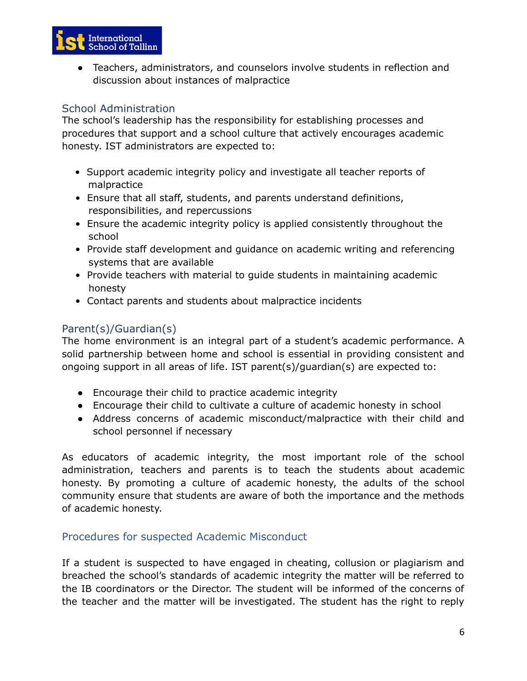

● Teachers, administrators, and counselors involve students in reflection and discussion about instances of malpractice

# <span id="page-5-0"></span>School Administration

The school's leadership has the responsibility for establishing processes and procedures that support and a school culture that actively encourages academic honesty. IST administrators are expected to:

- Support academic integrity policy and investigate all teacher reports of malpractice
- Ensure that all staff, students, and parents understand definitions, responsibilities, and repercussions
- Ensure the academic integrity policy is applied consistently throughout the school
- Provide staff development and guidance on academic writing and referencing systems that are available
- Provide teachers with material to guide students in maintaining academic honesty
- Contact parents and students about malpractice incidents

# <span id="page-5-1"></span>Parent(s)/Guardian(s)

The home environment is an integral part of a student's academic performance. A solid partnership between home and school is essential in providing consistent and ongoing support in all areas of life. IST parent(s)/guardian(s) are expected to:

- Encourage their child to practice academic integrity
- Encourage their child to cultivate a culture of academic honesty in school
- Address concerns of academic misconduct/malpractice with their child and school personnel if necessary

As educators of academic integrity, the most important role of the school administration, teachers and parents is to teach the students about academic honesty. By promoting a culture of academic honesty, the adults of the school community ensure that students are aware of both the importance and the methods of academic honesty.

# <span id="page-5-2"></span>Procedures for suspected Academic Misconduct

If a student is suspected to have engaged in cheating, collusion or plagiarism and breached the school's standards of academic integrity the matter will be referred to the IB coordinators or the Director. The student will be informed of the concerns of the teacher and the matter will be investigated. The student has the right to reply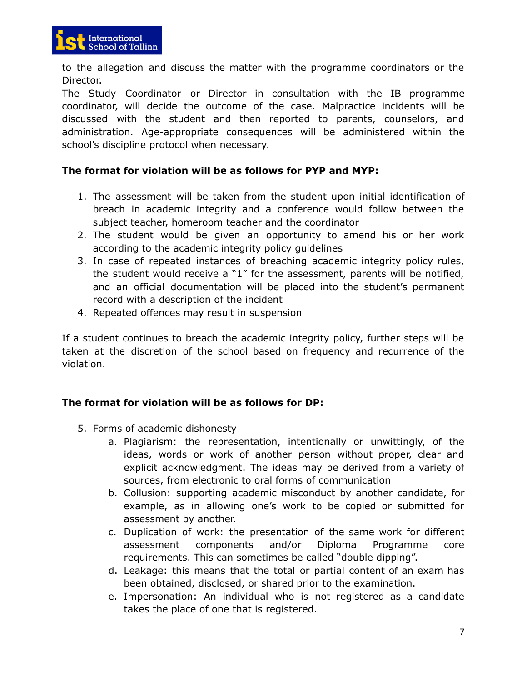

to the allegation and discuss the matter with the programme coordinators or the Director.

The Study Coordinator or Director in consultation with the IB programme coordinator, will decide the outcome of the case. Malpractice incidents will be discussed with the student and then reported to parents, counselors, and administration. Age-appropriate consequences will be administered within the school's discipline protocol when necessary.

### **The format for violation will be as follows for PYP and MYP:**

- 1. The assessment will be taken from the student upon initial identification of breach in academic integrity and a conference would follow between the subject teacher, homeroom teacher and the coordinator
- 2. The student would be given an opportunity to amend his or her work according to the academic integrity policy guidelines
- 3. In case of repeated instances of breaching academic integrity policy rules, the student would receive a "1" for the assessment, parents will be notified, and an official documentation will be placed into the student's permanent record with a description of the incident
- 4. Repeated offences may result in suspension

If a student continues to breach the academic integrity policy, further steps will be taken at the discretion of the school based on frequency and recurrence of the violation.

#### **The format for violation will be as follows for DP:**

- 5. Forms of academic dishonesty
	- a. Plagiarism: the representation, intentionally or unwittingly, of the ideas, words or work of another person without proper, clear and explicit acknowledgment. The ideas may be derived from a variety of sources, from electronic to oral forms of communication
	- b. Collusion: supporting academic misconduct by another candidate, for example, as in allowing one's work to be copied or submitted for assessment by another.
	- c. Duplication of work: the presentation of the same work for different assessment components and/or Diploma Programme core requirements. This can sometimes be called "double dipping".
	- d. Leakage: this means that the total or partial content of an exam has been obtained, disclosed, or shared prior to the examination.
	- e. Impersonation: An individual who is not registered as a candidate takes the place of one that is registered.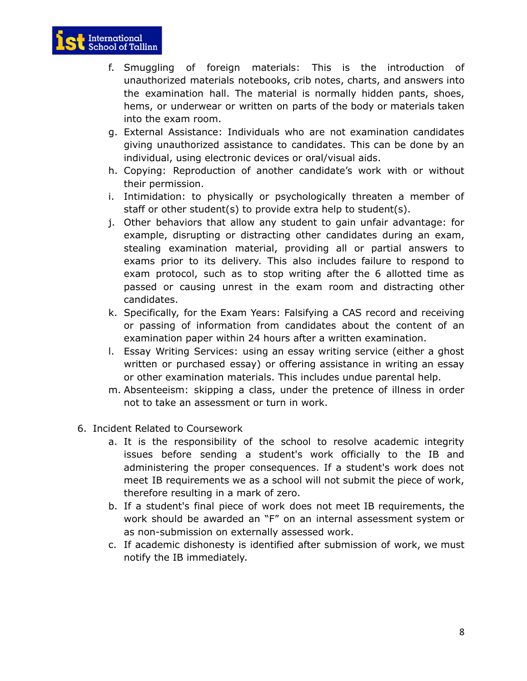

- f. Smuggling of foreign materials: This is the introduction of unauthorized materials notebooks, crib notes, charts, and answers into the examination hall. The material is normally hidden pants, shoes, hems, or underwear or written on parts of the body or materials taken into the exam room.
- g. External Assistance: Individuals who are not examination candidates giving unauthorized assistance to candidates. This can be done by an individual, using electronic devices or oral/visual aids.
- h. Copying: Reproduction of another candidate's work with or without their permission.
- i. Intimidation: to physically or psychologically threaten a member of staff or other student(s) to provide extra help to student(s).
- j. Other behaviors that allow any student to gain unfair advantage: for example, disrupting or distracting other candidates during an exam, stealing examination material, providing all or partial answers to exams prior to its delivery. This also includes failure to respond to exam protocol, such as to stop writing after the 6 allotted time as passed or causing unrest in the exam room and distracting other candidates.
- k. Specifically, for the Exam Years: Falsifying a CAS record and receiving or passing of information from candidates about the content of an examination paper within 24 hours after a written examination.
- l. Essay Writing Services: using an essay writing service (either a ghost written or purchased essay) or offering assistance in writing an essay or other examination materials. This includes undue parental help.
- m. Absenteeism: skipping a class, under the pretence of illness in order not to take an assessment or turn in work.
- 6. Incident Related to Coursework
	- a. It is the responsibility of the school to resolve academic integrity issues before sending a student's work officially to the IB and administering the proper consequences. If a student's work does not meet IB requirements we as a school will not submit the piece of work, therefore resulting in a mark of zero.
	- b. If a student's final piece of work does not meet IB requirements, the work should be awarded an "F" on an internal assessment system or as non-submission on externally assessed work.
	- c. If academic dishonesty is identified after submission of work, we must notify the IB immediately.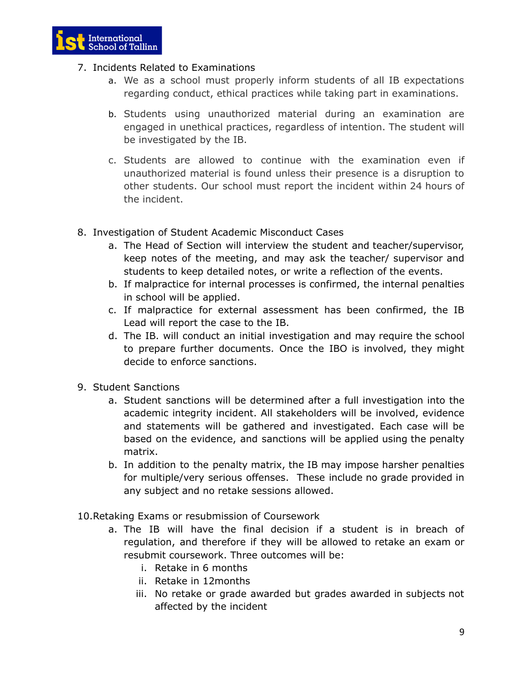

- 7. Incidents Related to Examinations
	- a. We as a school must properly inform students of all IB expectations regarding conduct, ethical practices while taking part in examinations.
	- b. Students using unauthorized material during an examination are engaged in unethical practices, regardless of intention. The student will be investigated by the IB.
	- c. Students are allowed to continue with the examination even if unauthorized material is found unless their presence is a disruption to other students. Our school must report the incident within 24 hours of the incident.
- 8. Investigation of Student Academic Misconduct Cases
	- a. The Head of Section will interview the student and teacher/supervisor, keep notes of the meeting, and may ask the teacher/ supervisor and students to keep detailed notes, or write a reflection of the events.
	- b. If malpractice for internal processes is confirmed, the internal penalties in school will be applied.
	- c. If malpractice for external assessment has been confirmed, the IB Lead will report the case to the IB.
	- d. The IB. will conduct an initial investigation and may require the school to prepare further documents. Once the IBO is involved, they might decide to enforce sanctions.
- 9. Student Sanctions
	- a. Student sanctions will be determined after a full investigation into the academic integrity incident. All stakeholders will be involved, evidence and statements will be gathered and investigated. Each case will be based on the evidence, and sanctions will be applied using the penalty matrix.
	- b. In addition to the penalty matrix, the IB may impose harsher penalties for multiple/very serious offenses. These include no grade provided in any subject and no retake sessions allowed.
- 10.Retaking Exams or resubmission of Coursework
	- a. The IB will have the final decision if a student is in breach of regulation, and therefore if they will be allowed to retake an exam or resubmit coursework. Three outcomes will be:
		- i. Retake in 6 months
		- ii. Retake in 12months
		- iii. No retake or grade awarded but grades awarded in subjects not affected by the incident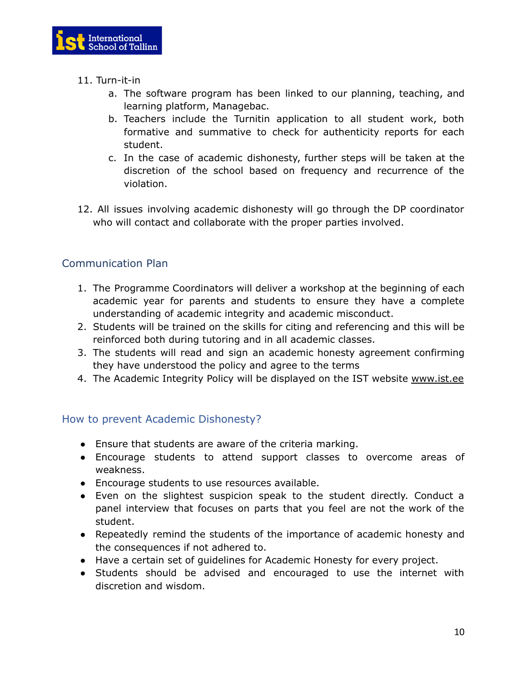

- 11. Turn-it-in
	- a. The software program has been linked to our planning, teaching, and learning platform, Managebac.
	- b. Teachers include the Turnitin application to all student work, both formative and summative to check for authenticity reports for each student.
	- c. In the case of academic dishonesty, further steps will be taken at the discretion of the school based on frequency and recurrence of the violation.
- 12. All issues involving academic dishonesty will go through the DP coordinator who will contact and collaborate with the proper parties involved.

# <span id="page-9-0"></span>Communication Plan

- 1. The Programme Coordinators will deliver a workshop at the beginning of each academic year for parents and students to ensure they have a complete understanding of academic integrity and academic misconduct.
- 2. Students will be trained on the skills for citing and referencing and this will be reinforced both during tutoring and in all academic classes.
- 3. The students will read and sign an academic honesty agreement confirming they have understood the policy and agree to the terms
- 4. The Academic Integrity Policy will be displayed on the IST website [www.ist.ee](http://www.ist.ee)

#### <span id="page-9-1"></span>How to prevent Academic Dishonesty?

- Ensure that students are aware of the criteria marking.
- Encourage students to attend support classes to overcome areas of weakness.
- Encourage students to use resources available.
- Even on the slightest suspicion speak to the student directly. Conduct a panel interview that focuses on parts that you feel are not the work of the student.
- Repeatedly remind the students of the importance of academic honesty and the consequences if not adhered to.
- Have a certain set of guidelines for Academic Honesty for every project.
- Students should be advised and encouraged to use the internet with discretion and wisdom.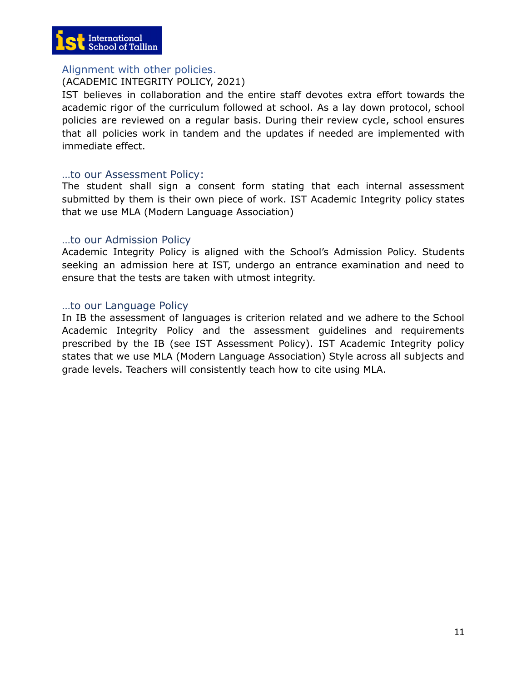

#### <span id="page-10-0"></span>Alignment with other policies.

#### (ACADEMIC INTEGRITY POLICY, 2021)

IST believes in collaboration and the entire staff devotes extra effort towards the academic rigor of the curriculum followed at school. As a lay down protocol, school policies are reviewed on a regular basis. During their review cycle, school ensures that all policies work in tandem and the updates if needed are implemented with immediate effect.

#### <span id="page-10-1"></span>…to our Assessment Policy:

The student shall sign a consent form stating that each internal assessment submitted by them is their own piece of work. IST Academic Integrity policy states that we use MLA (Modern Language Association)

#### <span id="page-10-2"></span>…to our Admission Policy

Academic Integrity Policy is aligned with the School's Admission Policy. Students seeking an admission here at IST, undergo an entrance examination and need to ensure that the tests are taken with utmost integrity.

#### <span id="page-10-3"></span>…to our Language Policy

In IB the assessment of languages is criterion related and we adhere to the School Academic Integrity Policy and the assessment guidelines and requirements prescribed by the IB (see IST Assessment Policy). IST Academic Integrity policy states that we use MLA (Modern Language Association) Style across all subjects and grade levels. Teachers will consistently teach how to cite using MLA.